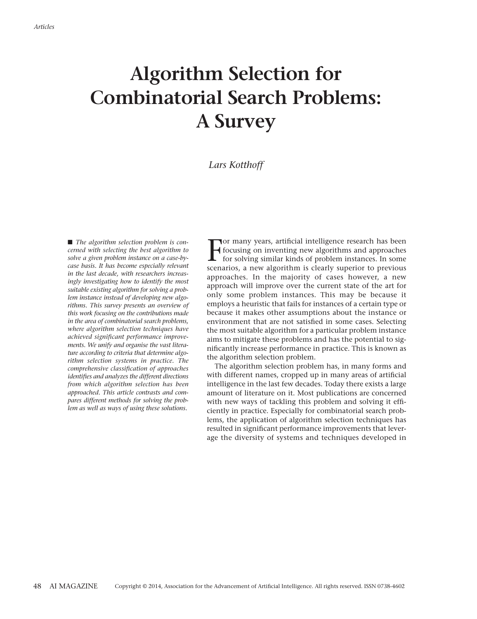# **Algorithm Selection for Combinatorial Search Problems: A Survey**

# *Lars Kotthoff*

■ *The algorithm selection problem is concerned with selecting the best algorithm to solve a given problem instance on a case-bycase basis. It has become especially relevant in the last decade, with researchers increasingly investigating how to identify the most suitable existing algorithm for solving a problem instance instead of developing new algorithms. This survey presents an overview of this work focusing on the contributions made in the area of combinatorial search problems, where algorithm selection techniques have achieved significant performance improvements. We unify and organise the vast literature according to criteria that determine algorithm selection systems in practice. The comprehensive classification of approaches identifies and analyzes the different directions from which algorithm selection has been approached. This article contrasts and compares different methods for solving the problem as well as ways of using these solutions.*

Tor many years, artificial intelligence research has been<br>focusing on inventing new algorithms and approaches<br>for solving similar kinds of problem instances. In some<br>scenarios, a new algorithm is clearly superior to previo or many years, artificial intelligence research has been focusing on inventing new algorithms and approaches for solving similar kinds of problem instances. In some approaches. In the majority of cases however, a new approach will improve over the current state of the art for only some problem instances. This may be because it employs a heuristic that fails for instances of a certain type or because it makes other assumptions about the instance or environment that are not satisfied in some cases. Selecting the most suitable algorithm for a particular problem instance aims to mitigate these problems and has the potential to significantly increase performance in practice. This is known as the algorithm selection problem.

The algorithm selection problem has, in many forms and with different names, cropped up in many areas of artificial intelligence in the last few decades. Today there exists a large amount of literature on it. Most publications are concerned with new ways of tackling this problem and solving it efficiently in practice. Especially for combinatorial search problems, the application of algorithm selection techniques has resulted in significant performance improvements that leverage the diversity of systems and techniques developed in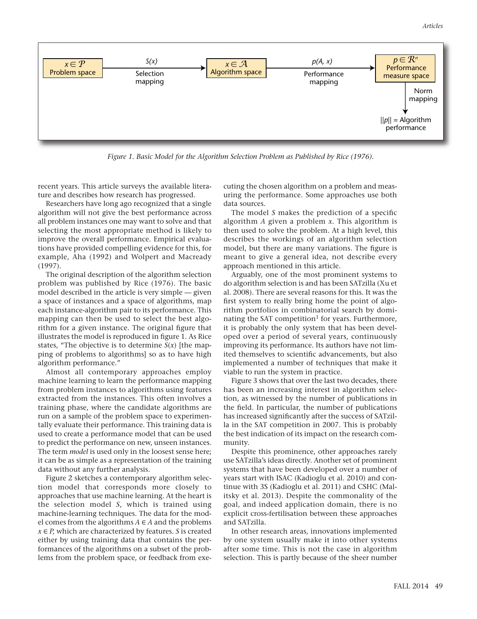

*Figure 1. Basic Model for the Algorithm Selection Problem as Published by Rice (1976).*

recent years. This article surveys the available literature and describes how research has progressed.

Researchers have long ago recognized that a single algorithm will not give the best performance across all problem instances one may want to solve and that selecting the most appropriate method is likely to improve the overall performance. Empirical evaluations have provided compelling evidence for this, for example, Aha (1992) and Wolpert and Macready (1997).

The original description of the algorithm selection problem was published by Rice (1976). The basic model described in the article is very simple — given a space of instances and a space of algorithms, map each instance-algorithm pair to its performance. This mapping can then be used to select the best algorithm for a given instance. The original figure that illustrates the model is reproduced in figure 1. As Rice states, "The objective is to determine  $S(x)$  [the mapping of problems to algorithms] so as to have high algorithm performance."

Almost all contemporary approaches employ machine learning to learn the performance mapping from problem instances to algorithms using features extracted from the instances. This often involves a training phase, where the candidate algorithms are run on a sample of the problem space to experimentally evaluate their performance. This training data is used to create a performance model that can be used to predict the performance on new, unseen instances. The term *model* is used only in the loosest sense here; it can be as simple as a representation of the training data without any further analysis.

Figure 2 sketches a contemporary algorithm selection model that corresponds more closely to approaches that use machine learning. At the heart is the selection model *S*, which is trained using machine-learning techniques. The data for the model comes from the algorithms  $A \in A$  and the problems *x* ∈ *P,* which are characterized by features. *S* is created either by using training data that contains the performances of the algorithms on a subset of the problems from the problem space, or feedback from executing the chosen algorithm on a problem and measuring the performance. Some approaches use both data sources.

The model *S* makes the prediction of a specific algorithm *A* given a problem *x.* This algorithm is then used to solve the problem. At a high level, this describes the workings of an algorithm selection model, but there are many variations. The figure is meant to give a general idea, not describe every approach mentioned in this article.

Arguably, one of the most prominent systems to do algorithm selection is and has been SATzilla (Xu et al. 2008). There are several reasons for this. It was the first system to really bring home the point of algorithm portfolios in combinatorial search by dominating the SAT competition<sup>1</sup> for years. Furthermore, it is probably the only system that has been developed over a period of several years, continuously improving its performance. Its authors have not limited themselves to scientific advancements, but also implemented a number of techniques that make it viable to run the system in practice.

Figure 3 shows that over the last two decades, there has been an increasing interest in algorithm selection, as witnessed by the number of publications in the field. In particular, the number of publications has increased significantly after the success of SATzilla in the SAT competition in 2007. This is probably the best indication of its impact on the research community.

Despite this prominence, other approaches rarely use SATzilla's ideas directly. Another set of prominent systems that have been developed over a number of years start with ISAC (Kadioglu et al. 2010) and continue with 3S (Kadioglu et al. 2011) and CSHC (Malitsky et al. 2013). Despite the commonality of the goal, and indeed application domain, there is no explicit cross-fertilisation between these approaches and SATzilla.

In other research areas, innovations implemented by one system usually make it into other systems after some time. This is not the case in algorithm selection. This is partly because of the sheer number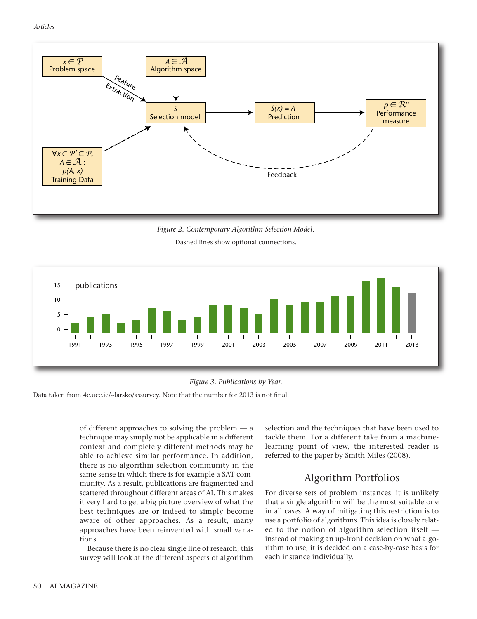

*Figure 2. Contemporary Algorithm Selection Model.* Dashed lines show optional connections.



## *Figure 3. Publications by Year.*

Data taken from 4c.ucc.ie/~larsko/assurvey. Note that the number for 2013 is not final.

of different approaches to solving the problem — a technique may simply not be applicable in a different context and completely different methods may be able to achieve similar performance. In addition, there is no algorithm selection community in the same sense in which there is for example a SAT community. As a result, publications are fragmented and scattered throughout different areas of AI. This makes it very hard to get a big picture overview of what the best techniques are or indeed to simply become aware of other approaches. As a result, many approaches have been reinvented with small variations.

Because there is no clear single line of research, this survey will look at the different aspects of algorithm selection and the techniques that have been used to tackle them. For a different take from a machinelearning point of view, the interested reader is referred to the paper by Smith-Miles (2008).

# Algorithm Portfolios

For diverse sets of problem instances, it is unlikely that a single algorithm will be the most suitable one in all cases. A way of mitigating this restriction is to use a portfolio of algorithms. This idea is closely related to the notion of algorithm selection itself instead of making an up-front decision on what algorithm to use, it is decided on a case-by-case basis for each instance individually.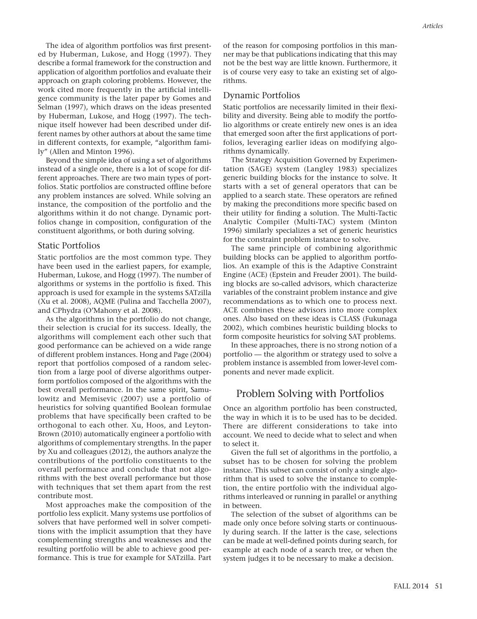The idea of algorithm portfolios was first presented by Huberman, Lukose, and Hogg (1997). They describe a formal framework for the construction and application of algorithm portfolios and evaluate their approach on graph coloring problems. However, the work cited more frequently in the artificial intelligence community is the later paper by Gomes and Selman (1997), which draws on the ideas presented by Huberman, Lukose, and Hogg (1997). The technique itself however had been described under different names by other authors at about the same time in different contexts, for example, "algorithm family" (Allen and Minton 1996).

Beyond the simple idea of using a set of algorithms instead of a single one, there is a lot of scope for different approaches. There are two main types of portfolios. Static portfolios are constructed offline before any problem instances are solved. While solving an instance, the composition of the portfolio and the algorithms within it do not change. Dynamic portfolios change in composition, configuration of the constituent algorithms, or both during solving.

## Static Portfolios

Static portfolios are the most common type. They have been used in the earliest papers, for example, Huberman, Lukose, and Hogg (1997). The number of algorithms or systems in the portfolio is fixed. This approach is used for example in the systems SATzilla (Xu et al. 2008), AQME (Pulina and Tacchella 2007), and CPhydra (O'Mahony et al. 2008).

As the algorithms in the portfolio do not change, their selection is crucial for its success. Ideally, the algorithms will complement each other such that good performance can be achieved on a wide range of different problem instances. Hong and Page (2004) report that portfolios composed of a random selection from a large pool of diverse algorithms outperform portfolios composed of the algorithms with the best overall performance. In the same spirit, Samulowitz and Memisevic (2007) use a portfolio of heuristics for solving quantified Boolean formulae problems that have specifically been crafted to be orthogonal to each other. Xu, Hoos, and Leyton-Brown (2010) automatically engineer a portfolio with algorithms of complementary strengths. In the paper by Xu and colleagues (2012), the authors analyze the contributions of the portfolio constituents to the overall performance and conclude that not algorithms with the best overall performance but those with techniques that set them apart from the rest contribute most.

Most approaches make the composition of the portfolio less explicit. Many systems use portfolios of solvers that have performed well in solver competitions with the implicit assumption that they have complementing strengths and weaknesses and the resulting portfolio will be able to achieve good performance. This is true for example for SATzilla. Part of the reason for composing portfolios in this manner may be that publications indicating that this may not be the best way are little known. Furthermore, it is of course very easy to take an existing set of algorithms.

## Dynamic Portfolios

Static portfolios are necessarily limited in their flexibility and diversity. Being able to modify the portfolio algorithms or create entirely new ones is an idea that emerged soon after the first applications of portfolios, leveraging earlier ideas on modifying algorithms dynamically.

The Strategy Acquisition Governed by Experimentation (SAGE) system (Langley 1983) specializes generic building blocks for the instance to solve. It starts with a set of general operators that can be applied to a search state. These operators are refined by making the preconditions more specific based on their utility for finding a solution. The Multi-Tactic Analytic Compiler (Multi-TAC) system (Minton 1996) similarly specializes a set of generic heuristics for the constraint problem instance to solve.

The same principle of combining algorithmic building blocks can be applied to algorithm portfolios. An example of this is the Adaptive Constraint Engine (ACE) (Epstein and Freuder 2001). The building blocks are so-called advisors, which characterize variables of the constraint problem instance and give recommendations as to which one to process next. ACE combines these advisors into more complex ones. Also based on these ideas is CLASS (Fukunaga 2002), which combines heuristic building blocks to form composite heuristics for solving SAT problems.

In these approaches, there is no strong notion of a portfolio — the algorithm or strategy used to solve a problem instance is assembled from lower-level components and never made explicit.

# Problem Solving with Portfolios

Once an algorithm portfolio has been constructed, the way in which it is to be used has to be decided. There are different considerations to take into account. We need to decide what to select and when to select it.

Given the full set of algorithms in the portfolio, a subset has to be chosen for solving the problem instance. This subset can consist of only a single algorithm that is used to solve the instance to completion, the entire portfolio with the individual algorithms interleaved or running in parallel or anything in between.

The selection of the subset of algorithms can be made only once before solving starts or continuously during search. If the latter is the case, selections can be made at well-defined points during search, for example at each node of a search tree, or when the system judges it to be necessary to make a decision.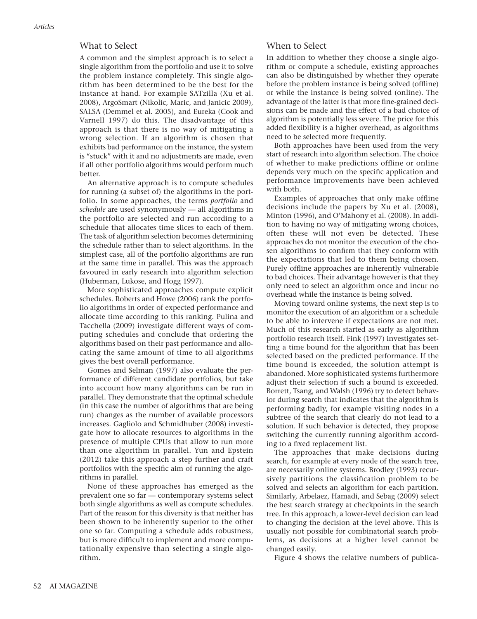# What to Select

A common and the simplest approach is to select a single algorithm from the portfolio and use it to solve the problem instance completely. This single algorithm has been determined to be the best for the instance at hand. For example SATzilla (Xu et al. 2008), ArgoSmart (Nikolic, Maric, and Janicic 2009), SALSA (Demmel et al. 2005), and Eureka (Cook and Varnell 1997) do this. The disadvantage of this approach is that there is no way of mitigating a wrong selection. If an algorithm is chosen that exhibits bad performance on the instance, the system is "stuck" with it and no adjustments are made, even if all other portfolio algorithms would perform much better.

An alternative approach is to compute schedules for running (a subset of) the algorithms in the portfolio. In some approaches, the terms *portfolio* and *schedule* are used synonymously — all algorithms in the portfolio are selected and run according to a schedule that allocates time slices to each of them. The task of algorithm selection becomes determining the schedule rather than to select algorithms. In the simplest case, all of the portfolio algorithms are run at the same time in parallel. This was the approach favoured in early research into algorithm selection (Huberman, Lukose, and Hogg 1997).

More sophisticated approaches compute explicit schedules. Roberts and Howe (2006) rank the portfolio algorithms in order of expected performance and allocate time according to this ranking. Pulina and Tacchella (2009) investigate different ways of computing schedules and conclude that ordering the algorithms based on their past performance and allocating the same amount of time to all algorithms gives the best overall performance.

Gomes and Selman (1997) also evaluate the performance of different candidate portfolios, but take into account how many algorithms can be run in parallel. They demonstrate that the optimal schedule (in this case the number of algorithms that are being run) changes as the number of available processors increases. Gagliolo and Schmidhuber (2008) investigate how to allocate resources to algorithms in the presence of multiple CPUs that allow to run more than one algorithm in parallel. Yun and Epstein (2012) take this approach a step further and craft portfolios with the specific aim of running the algorithms in parallel.

None of these approaches has emerged as the prevalent one so far — contemporary systems select both single algorithms as well as compute schedules. Part of the reason for this diversity is that neither has been shown to be inherently superior to the other one so far. Computing a schedule adds robustness, but is more difficult to implement and more computationally expensive than selecting a single algorithm.

# When to Select

In addition to whether they choose a single algorithm or compute a schedule, existing approaches can also be distinguished by whether they operate before the problem instance is being solved (offline) or while the instance is being solved (online). The advantage of the latter is that more fine-grained decisions can be made and the effect of a bad choice of algorithm is potentially less severe. The price for this added flexibility is a higher overhead, as algorithms need to be selected more frequently.

Both approaches have been used from the very start of research into algorithm selection. The choice of whether to make predictions offline or online depends very much on the specific application and performance improvements have been achieved with both.

Examples of approaches that only make offline decisions include the papers by Xu et al. (2008), Minton (1996), and O'Mahony et al. (2008). In addition to having no way of mitigating wrong choices, often these will not even be detected. These approaches do not monitor the execution of the chosen algorithms to confirm that they conform with the expectations that led to them being chosen. Purely offline approaches are inherently vulnerable to bad choices. Their advantage however is that they only need to select an algorithm once and incur no overhead while the instance is being solved.

Moving toward online systems, the next step is to monitor the execution of an algorithm or a schedule to be able to intervene if expectations are not met. Much of this research started as early as algorithm portfolio research itself. Fink (1997) investigates setting a time bound for the algorithm that has been selected based on the predicted performance. If the time bound is exceeded, the solution attempt is abandoned. More sophisticated systems furthermore adjust their selection if such a bound is exceeded. Borrett, Tsang, and Walsh (1996) try to detect behavior during search that indicates that the algorithm is performing badly, for example visiting nodes in a subtree of the search that clearly do not lead to a solution. If such behavior is detected, they propose switching the currently running algorithm according to a fixed replacement list.

The approaches that make decisions during search, for example at every node of the search tree, are necessarily online systems. Brodley (1993) recursively partitions the classification problem to be solved and selects an algorithm for each partition. Similarly, Arbelaez, Hamadi, and Sebag (2009) select the best search strategy at checkpoints in the search tree. In this approach, a lower-level decision can lead to changing the decision at the level above. This is usually not possible for combinatorial search problems, as decisions at a higher level cannot be changed easily.

Figure 4 shows the relative numbers of publica-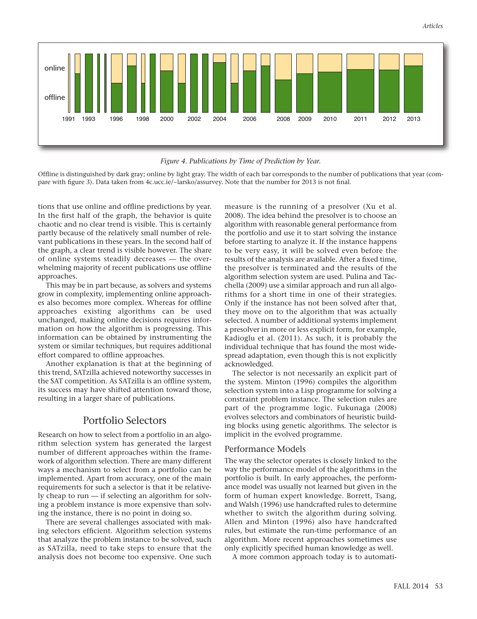

*Figure 4. Publications by Time of Prediction by Year.*

Offline is distinguished by dark gray; online by light gray. The width of each bar corresponds to the number of publications that year (compare with figure 3). Data taken from 4c.ucc.ie/~larsko/assurvey. Note that the number for 2013 is not final.

tions that use online and offline predictions by year. In the first half of the graph, the behavior is quite chaotic and no clear trend is visible. This is certainly partly because of the relatively small number of relevant publications in these years. In the second half of the graph, a clear trend is visible however. The share of online systems steadily decreases — the overwhelming majority of recent publications use offline approaches.

This may be in part because, as solvers and systems grow in complexity, implementing online approaches also becomes more complex. Whereas for offline approaches existing algorithms can be used unchanged, making online decisions requires information on how the algorithm is progressing. This information can be obtained by instrumenting the system or similar techniques, but requires additional effort compared to offline approaches.

Another explanation is that at the beginning of this trend, SATzilla achieved noteworthy successes in the SAT competition. As SATzilla is an offline system, its success may have shifted attention toward those, resulting in a larger share of publications.

# Portfolio Selectors

Research on how to select from a portfolio in an algorithm selection system has generated the largest number of different approaches within the framework of algorithm selection. There are many different ways a mechanism to select from a portfolio can be implemented. Apart from accuracy, one of the main requirements for such a selector is that it be relatively cheap to run — if selecting an algorithm for solving a problem instance is more expensive than solving the instance, there is no point in doing so.

There are several challenges associated with making selectors efficient. Algorithm selection systems that analyze the problem instance to be solved, such as SATzilla, need to take steps to ensure that the analysis does not become too expensive. One such

measure is the running of a presolver (Xu et al. 2008). The idea behind the presolver is to choose an algorithm with reasonable general performance from the portfolio and use it to start solving the instance before starting to analyze it. If the instance happens to be very easy, it will be solved even before the results of the analysis are available. After a fixed time, the presolver is terminated and the results of the algorithm selection system are used. Pulina and Tacchella (2009) use a similar approach and run all algorithms for a short time in one of their strategies. Only if the instance has not been solved after that, they move on to the algorithm that was actually selected. A number of additional systems implement a presolver in more or less explicit form, for example, Kadioglu et al. (2011). As such, it is probably the individual technique that has found the most widespread adaptation, even though this is not explicitly acknowledged.

The selector is not necessarily an explicit part of the system. Minton (1996) compiles the algorithm selection system into a Lisp programme for solving a constraint problem instance. The selection rules are part of the programme logic. Fukunaga (2008) evolves selectors and combinators of heuristic building blocks using genetic algorithms. The selector is implicit in the evolved programme.

# Performance Models

The way the selector operates is closely linked to the way the performance model of the algorithms in the portfolio is built. In early approaches, the performance model was usually not learned but given in the form of human expert knowledge. Borrett, Tsang, and Walsh (1996) use handcrafted rules to determine whether to switch the algorithm during solving. Allen and Minton (1996) also have handcrafted rules, but estimate the run-time performance of an algorithm. More recent approaches sometimes use only explicitly specified human knowledge as well.

A more common approach today is to automati-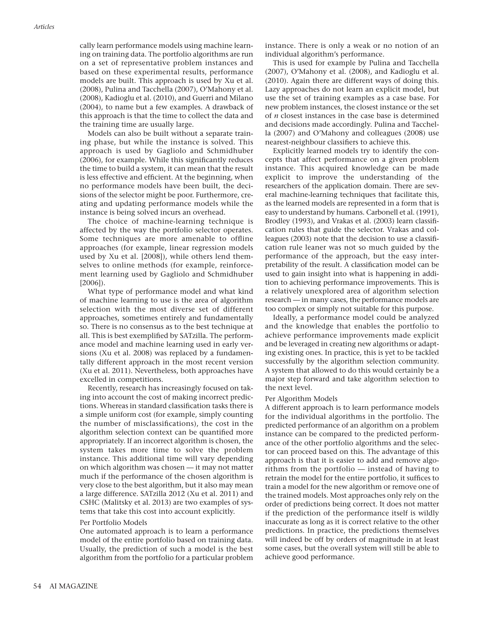cally learn performance models using machine learning on training data. The portfolio algorithms are run on a set of representative problem instances and based on these experimental results, performance models are built. This approach is used by Xu et al. (2008), Pulina and Tacchella (2007), O'Mahony et al. (2008), Kadioglu et al. (2010), and Guerri and Milano (2004), to name but a few examples. A drawback of this approach is that the time to collect the data and the training time are usually large.

Models can also be built without a separate training phase, but while the instance is solved. This approach is used by Gagliolo and Schmidhuber (2006), for example. While this significantly reduces the time to build a system, it can mean that the result is less effective and efficient. At the beginning, when no performance models have been built, the decisions of the selector might be poor. Furthermore, creating and updating performance models while the instance is being solved incurs an overhead.

The choice of machine-learning technique is affected by the way the portfolio selector operates. Some techniques are more amenable to offline approaches (for example, linear regression models used by Xu et al. [2008]), while others lend themselves to online methods (for example, reinforcement learning used by Gagliolo and Schmidhuber [2006]).

What type of performance model and what kind of machine learning to use is the area of algorithm selection with the most diverse set of different approaches, sometimes entirely and fundamentally so. There is no consensus as to the best technique at all. This is best exemplified by SATzilla. The performance model and machine learning used in early versions (Xu et al. 2008) was replaced by a fundamentally different approach in the most recent version (Xu et al. 2011). Nevertheless, both approaches have excelled in competitions.

Recently, research has increasingly focused on taking into account the cost of making incorrect predictions. Whereas in standard classification tasks there is a simple uniform cost (for example, simply counting the number of misclassifications), the cost in the algorithm selection context can be quantified more appropriately. If an incorrect algorithm is chosen, the system takes more time to solve the problem instance. This additional time will vary depending on which algorithm was chosen — it may not matter much if the performance of the chosen algorithm is very close to the best algorithm, but it also may mean a large difference. SATzilla 2012 (Xu et al. 2011) and CSHC (Malitsky et al. 2013) are two examples of systems that take this cost into account explicitly.

#### Per Portfolio Models

One automated approach is to learn a performance model of the entire portfolio based on training data. Usually, the prediction of such a model is the best algorithm from the portfolio for a particular problem instance. There is only a weak or no notion of an individual algorithm's performance.

This is used for example by Pulina and Tacchella (2007), O'Mahony et al. (2008), and Kadioglu et al. (2010). Again there are different ways of doing this. Lazy approaches do not learn an explicit model, but use the set of training examples as a case base. For new problem instances, the closest instance or the set of *n* closest instances in the case base is determined and decisions made accordingly. Pulina and Tacchella (2007) and O'Mahony and colleagues (2008) use nearest-neighbour classifiers to achieve this.

Explicitly learned models try to identify the concepts that affect performance on a given problem instance. This acquired knowledge can be made explicit to improve the understanding of the researchers of the application domain. There are several machine-learning techniques that facilitate this, as the learned models are represented in a form that is easy to understand by humans. Carbonell et al. (1991), Brodley (1993), and Vrakas et al. (2003) learn classification rules that guide the selector. Vrakas and colleagues (2003) note that the decision to use a classification rule leaner was not so much guided by the performance of the approach, but the easy interpretability of the result. A classification model can be used to gain insight into what is happening in addition to achieving performance improvements. This is a relatively unexplored area of algorithm selection research — in many cases, the performance models are too complex or simply not suitable for this purpose.

Ideally, a performance model could be analyzed and the knowledge that enables the portfolio to achieve performance improvements made explicit and be leveraged in creating new algorithms or adapting existing ones. In practice, this is yet to be tackled successfully by the algorithm selection community. A system that allowed to do this would certainly be a major step forward and take algorithm selection to the next level.

#### Per Algorithm Models

A different approach is to learn performance models for the individual algorithms in the portfolio. The predicted performance of an algorithm on a problem instance can be compared to the predicted performance of the other portfolio algorithms and the selector can proceed based on this. The advantage of this approach is that it is easier to add and remove algorithms from the portfolio — instead of having to retrain the model for the entire portfolio, it suffices to train a model for the new algorithm or remove one of the trained models. Most approaches only rely on the order of predictions being correct. It does not matter if the prediction of the performance itself is wildly inaccurate as long as it is correct relative to the other predictions. In practice, the predictions themselves will indeed be off by orders of magnitude in at least some cases, but the overall system will still be able to achieve good performance.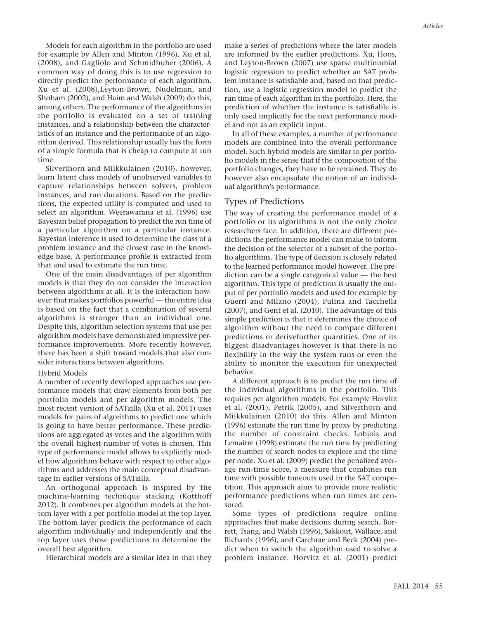Models for each algorithm in the portfolio are used for example by Allen and Minton (1996), Xu et al. (2008), and Gagliolo and Schmidhuber (2006). A common way of doing this is to use regression to directly predict the performance of each algorithm. Xu et al. (2008),Leyton-Brown, Nudelman, and Shoham (2002), and Haim and Walsh (2009) do this, among others. The performance of the algorithms in the portfolio is evaluated on a set of training instances, and a relationship between the characteristics of an instance and the performance of an algorithm derived. This relationship usually has the form of a simple formula that is cheap to compute at run time.

Silverthorn and Miikkulainen (2010), however, learn latent class models of unobserved variables to capture relationships between solvers, problem instances, and run durations. Based on the predictions, the expected utility is computed and used to select an algorithm. Weerawarana et al. (1996) use Bayesian belief propagation to predict the run time of a particular algorithm on a particular instance. Bayesian inference is used to determine the class of a problem instance and the closest case in the knowledge base. A performance profile is extracted from that and used to estimate the run time.

One of the main disadvantages of per algorithm models is that they do not consider the interaction between algorithms at all. It is the interaction however that makes portfolios powerful — the entire idea is based on the fact that a combination of several algorithms is stronger than an individual one. Despite this, algorithm selection systems that use per algorithm models have demonstrated impressive performance improvements. More recently however, there has been a shift toward models that also consider interactions between algorithms.

#### Hybrid Models

A number of recently developed approaches use performance models that draw elements from both per portfolio models and per algorithm models. The most recent version of SATzilla (Xu et al. 2011) uses models for pairs of algorithms to predict one which is going to have better performance. These predictions are aggregated as votes and the algorithm with the overall highest number of votes is chosen. This type of performance model allows to explicitly model how algorithms behave with respect to other algorithms and addresses the main conceptual disadvantage in earlier versions of SATzilla.

An orthogonal approach is inspired by the machine-learning technique stacking (Kotthoff 2012). It combines per algorithm models at the bottom layer with a per portfolio model at the top layer. The bottom layer predicts the performance of each algorithm individually and independently and the top layer uses those predictions to determine the overall best algorithm.

Hierarchical models are a similar idea in that they

make a series of predictions where the later models are informed by the earlier predictions. Xu, Hoos, and Leyton-Brown (2007) use sparse multinomial logistic regression to predict whether an SAT problem instance is satisfiable and, based on that prediction, use a logistic regression model to predict the run time of each algorithm in the portfolio. Here, the prediction of whether the instance is satisfiable is only used implicitly for the next performance model and not as an explicit input.

In all of these examples, a number of performance models are combined into the overall performance model. Such hybrid models are similar to per portfolio models in the sense that if the composition of the portfolio changes, they have to be retrained. They do however also encapsulate the notion of an individual algorithm's performance.

# Types of Predictions

The way of creating the performance model of a portfolio or its algorithms is not the only choice researchers face. In addition, there are different predictions the performance model can make to inform the decision of the selector of a subset of the portfolio algorithms. The type of decision is closely related to the learned performance model however. The prediction can be a single categorical value — the best algorithm. This type of prediction is usually the output of per portfolio models and used for example by Guerri and Milano (2004), Pulina and Tacchella (2007), and Gent et al. (2010). The advantage of this simple prediction is that it determines the choice of algorithm without the need to compare different predictions or derivefurther quantities. One of its biggest disadvantages however is that there is no flexibility in the way the system runs or even the ability to monitor the execution for unexpected behavior.

A different approach is to predict the run time of the individual algorithms in the portfolio. This requires per algorithm models. For example Horvitz et al. (2001), Petrik (2005), and Silverthorn and Miikkulainen (2010) do this. Allen and Minton (1996) estimate the run time by proxy by predicting the number of constraint checks. Lobjois and Lemaître (1998) estimate the run time by predicting the number of search nodes to explore and the time per node. Xu et al. (2009) predict the penalized average run-time score, a measure that combines run time with possible timeouts used in the SAT competition. This approach aims to provide more realistic performance predictions when run times are censored.

Some types of predictions require online approaches that make decisions during search. Borrett, Tsang, and Walsh (1996), Sakkout, Wallace, and Richards (1996), and Carchrae and Beck (2004) predict when to switch the algorithm used to solve a problem instance. Horvitz et al. (2001) predict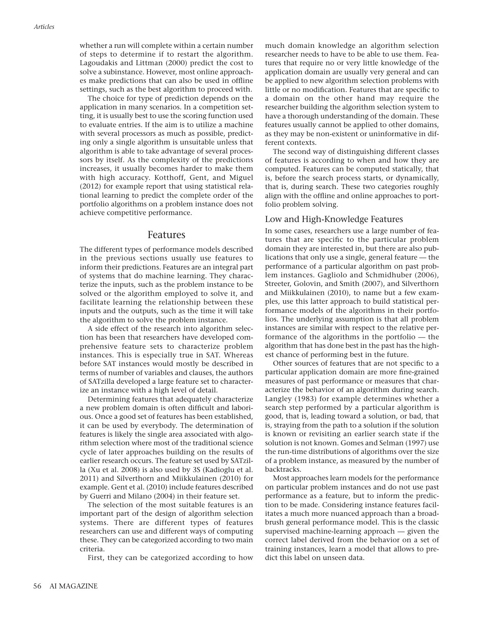whether a run will complete within a certain number of steps to determine if to restart the algorithm. Lagoudakis and Littman (2000) predict the cost to solve a subinstance. However, most online approaches make predictions that can also be used in offline settings, such as the best algorithm to proceed with.

The choice for type of prediction depends on the application in many scenarios. In a competition setting, it is usually best to use the scoring function used to evaluate entries. If the aim is to utilize a machine with several processors as much as possible, predicting only a single algorithm is unsuitable unless that algorithm is able to take advantage of several processors by itself. As the complexity of the predictions increases, it usually becomes harder to make them with high accuracy. Kotthoff, Gent, and Miguel (2012) for example report that using statistical relational learning to predict the complete order of the portfolio algorithms on a problem instance does not achieve competitive performance.

# Features

The different types of performance models described in the previous sections usually use features to inform their predictions. Features are an integral part of systems that do machine learning. They characterize the inputs, such as the problem instance to be solved or the algorithm employed to solve it, and facilitate learning the relationship between these inputs and the outputs, such as the time it will take the algorithm to solve the problem instance.

A side effect of the research into algorithm selection has been that researchers have developed comprehensive feature sets to characterize problem instances. This is especially true in SAT. Whereas before SAT instances would mostly be described in terms of number of variables and clauses, the authors of SATzilla developed a large feature set to characterize an instance with a high level of detail.

Determining features that adequately characterize a new problem domain is often difficult and laborious. Once a good set of features has been established, it can be used by everybody. The determination of features is likely the single area associated with algorithm selection where most of the traditional science cycle of later approaches building on the results of earlier research occurs. The feature set used by SATzilla (Xu et al. 2008) is also used by 3S (Kadioglu et al. 2011) and Silverthorn and Miikkulainen (2010) for example. Gent et al. (2010) include features described by Guerri and Milano (2004) in their feature set.

The selection of the most suitable features is an important part of the design of algorithm selection systems. There are different types of features researchers can use and different ways of computing these. They can be categorized according to two main criteria.

First, they can be categorized according to how

much domain knowledge an algorithm selection researcher needs to have to be able to use them. Features that require no or very little knowledge of the application domain are usually very general and can be applied to new algorithm selection problems with little or no modification. Features that are specific to a domain on the other hand may require the researcher building the algorithm selection system to have a thorough understanding of the domain. These features usually cannot be applied to other domains, as they may be non-existent or uninformative in different contexts.

The second way of distinguishing different classes of features is according to when and how they are computed. Features can be computed statically, that is, before the search process starts, or dynamically, that is, during search. These two categories roughly align with the offline and online approaches to portfolio problem solving.

# Low and High-Knowledge Features

In some cases, researchers use a large number of features that are specific to the particular problem domain they are interested in, but there are also publications that only use a single, general feature — the performance of a particular algorithm on past problem instances. Gagliolo and Schmidhuber (2006), Streeter, Golovin, and Smith (2007), and Silverthorn and Miikkulainen (2010), to name but a few examples, use this latter approach to build statistical performance models of the algorithms in their portfolios. The underlying assumption is that all problem instances are similar with respect to the relative performance of the algorithms in the portfolio — the algorithm that has done best in the past has the highest chance of performing best in the future.

Other sources of features that are not specific to a particular application domain are more fine-grained measures of past performance or measures that characterize the behavior of an algorithm during search. Langley (1983) for example determines whether a search step performed by a particular algorithm is good, that is, leading toward a solution, or bad, that is, straying from the path to a solution if the solution is known or revisiting an earlier search state if the solution is not known. Gomes and Selman (1997) use the run-time distributions of algorithms over the size of a problem instance, as measured by the number of backtracks.

Most approaches learn models for the performance on particular problem instances and do not use past performance as a feature, but to inform the prediction to be made. Considering instance features facilitates a much more nuanced approach than a broadbrush general performance model. This is the classic supervised machine-learning approach — given the correct label derived from the behavior on a set of training instances, learn a model that allows to predict this label on unseen data.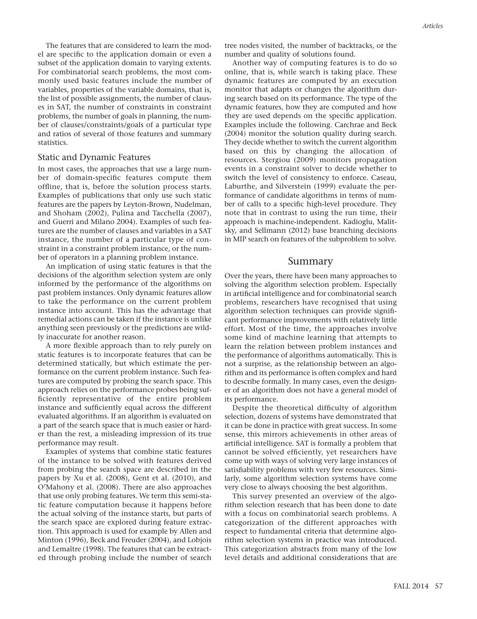The features that are considered to learn the model are specific to the application domain or even a subset of the application domain to varying extents. For combinatorial search problems, the most commonly used basic features include the number of variables, properties of the variable domains, that is, the list of possible assignments, the number of clauses in SAT, the number of constraints in constraint problems, the number of goals in planning, the number of clauses/constraints/goals of a particular type and ratios of several of those features and summary statistics.

# Static and Dynamic Features

In most cases, the approaches that use a large number of domain-specific features compute them offline, that is, before the solution process starts. Examples of publications that only use such static features are the papers by Leyton-Brown, Nudelman, and Shoham (2002), Pulina and Tacchella (2007), and Guerri and Milano 2004). Examples of such features are the number of clauses and variables in a SAT instance, the number of a particular type of constraint in a constraint problem instance, or the number of operators in a planning problem instance.

An implication of using static features is that the decisions of the algorithm selection system are only informed by the performance of the algorithms on past problem instances. Only dynamic features allow to take the performance on the current problem instance into account. This has the advantage that remedial actions can be taken if the instance is unlike anything seen previously or the predictions are wildly inaccurate for another reason.

A more flexible approach than to rely purely on static features is to incorporate features that can be determined statically, but which estimate the performance on the current problem instance. Such features are computed by probing the search space. This approach relies on the performance probes being sufficiently representative of the entire problem instance and sufficiently equal across the different evaluated algorithms. If an algorithm is evaluated on a part of the search space that is much easier or harder than the rest, a misleading impression of its true performance may result.

Examples of systems that combine static features of the instance to be solved with features derived from probing the search space are described in the papers by Xu et al. (2008), Gent et al. (2010), and O'Mahony et al. (2008). There are also approaches that use only probing features. We term this semi-static feature computation because it happens before the actual solving of the instance starts, but parts of the search space are explored during feature extraction. This approach is used for example by Allen and Minton (1996), Beck and Freuder (2004), and Lobjois and Lemaître (1998). The features that can be extracted through probing include the number of search

tree nodes visited, the number of backtracks, or the number and quality of solutions found.

Another way of computing features is to do so online, that is, while search is taking place. These dynamic features are computed by an execution monitor that adapts or changes the algorithm during search based on its performance. The type of the dynamic features, how they are computed and how they are used depends on the specific application. Examples include the following. Carchrae and Beck (2004) monitor the solution quality during search. They decide whether to switch the current algorithm based on this by changing the allocation of resources. Stergiou (2009) monitors propagation events in a constraint solver to decide whether to switch the level of consistency to enforce. Caseau, Laburthe, and Silverstein (1999) evaluate the performance of candidate algorithms in terms of number of calls to a specific high-level procedure. They note that in contrast to using the run time, their approach is machine-independent. Kadioglu, Malitsky, and Sellmann (2012) base branching decisions in MIP search on features of the subproblem to solve.

# Summary

Over the years, there have been many approaches to solving the algorithm selection problem. Especially in artificial intelligence and for combinatorial search problems, researchers have recognised that using algorithm selection techniques can provide significant performance improvements with relatively little effort. Most of the time, the approaches involve some kind of machine learning that attempts to learn the relation between problem instances and the performance of algorithms automatically. This is not a surprise, as the relationship between an algorithm and its performance is often complex and hard to describe formally. In many cases, even the designer of an algorithm does not have a general model of its performance.

Despite the theoretical difficulty of algorithm selection, dozens of systems have demonstrated that it can be done in practice with great success. In some sense, this mirrors achievements in other areas of artificial intelligence. SAT is formally a problem that cannot be solved efficiently, yet researchers have come up with ways of solving very large instances of satisfiability problems with very few resources. Similarly, some algorithm selection systems have come very close to always choosing the best algorithm.

This survey presented an overview of the algorithm selection research that has been done to date with a focus on combinatorial search problems. A categorization of the different approaches with respect to fundamental criteria that determine algorithm selection systems in practice was introduced. This categorization abstracts from many of the low level details and additional considerations that are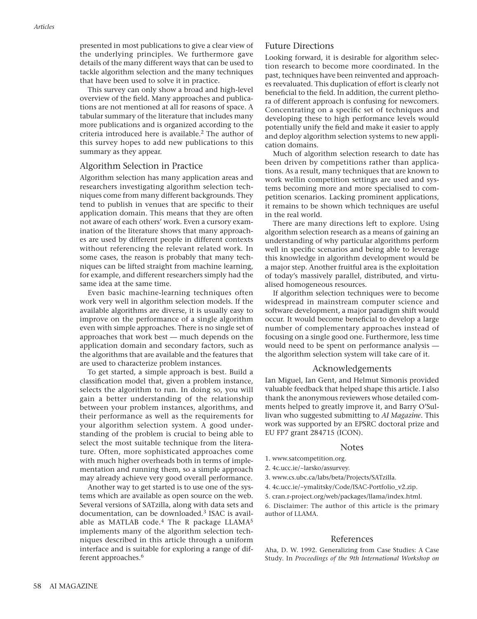presented in most publications to give a clear view of the underlying principles. We furthermore gave details of the many different ways that can be used to tackle algorithm selection and the many techniques that have been used to solve it in practice.

This survey can only show a broad and high-level overview of the field. Many approaches and publications are not mentioned at all for reasons of space. A tabular summary of the literature that includes many more publications and is organized according to the criteria introduced here is available. <sup>2</sup> The author of this survey hopes to add new publications to this summary as they appear.

## Algorithm Selection in Practice

Algorithm selection has many application areas and researchers investigating algorithm selection techniques come from many different backgrounds. They tend to publish in venues that are specific to their application domain. This means that they are often not aware of each others' work. Even a cursory examination of the literature shows that many approaches are used by different people in different contexts without referencing the relevant related work. In some cases, the reason is probably that many techniques can be lifted straight from machine learning, for example, and different researchers simply had the same idea at the same time.

Even basic machine-learning techniques often work very well in algorithm selection models. If the available algorithms are diverse, it is usually easy to improve on the performance of a single algorithm even with simple approaches. There is no single set of approaches that work best — much depends on the application domain and secondary factors, such as the algorithms that are available and the features that are used to characterize problem instances.

To get started, a simple approach is best. Build a classification model that, given a problem instance, selects the algorithm to run. In doing so, you will gain a better understanding of the relationship between your problem instances, algorithms, and their performance as well as the requirements for your algorithm selection system. A good understanding of the problem is crucial to being able to select the most suitable technique from the literature. Often, more sophisticated approaches come with much higher overheads both in terms of implementation and running them, so a simple approach may already achieve very good overall performance.

Another way to get started is to use one of the systems which are available as open source on the web. Several versions of SATzilla, along with data sets and documentation, can be downloaded. <sup>3</sup> ISAC is available as MATLAB code.<sup>4</sup> The R package LLAMA<sup>5</sup> implements many of the algorithm selection techniques described in this article through a uniform interface and is suitable for exploring a range of different approaches. 6

## Future Directions

Looking forward, it is desirable for algorithm selection research to become more coordinated. In the past, techniques have been reinvented and approaches reevaluated. This duplication of effort is clearly not beneficial to the field. In addition, the current plethora of different approach is confusing for newcomers. Concentrating on a specific set of techniques and developing these to high performance levels would potentially unify the field and make it easier to apply and deploy algorithm selection systems to new application domains.

Much of algorithm selection research to date has been driven by competitions rather than applications. As a result, many techniques that are known to work wellin competition settings are used and systems becoming more and more specialised to competition scenarios. Lacking prominent applications, it remains to be shown which techniques are useful in the real world.

There are many directions left to explore. Using algorithm selection research as a means of gaining an understanding of why particular algorithms perform well in specific scenarios and being able to leverage this knowledge in algorithm development would be a major step. Another fruitful area is the exploitation of today's massively parallel, distributed, and virtualised homogeneous resources.

If algorithm selection techniques were to become widespread in mainstream computer science and software development, a major paradigm shift would occur. It would become beneficial to develop a large number of complementary approaches instead of focusing on a single good one. Furthermore, less time would need to be spent on performance analysis the algorithm selection system will take care of it.

### Acknowledgements

Ian Miguel, Ian Gent, and Helmut Simonis provided valuable feedback that helped shape this article. I also thank the anonymous reviewers whose detailed comments helped to greatly improve it, and Barry O'Sullivan who suggested submitting to *AI Magazine*. This work was supported by an EPSRC doctoral prize and EU FP7 grant 284715 (ICON).

#### Notes

- 1. www.satcompetition.org.
- 2. 4c.ucc.ie/~larsko/assurvey.
- 3. www.cs.ubc.ca/labs/beta/Projects/SATzilla.
- 4. 4c.ucc.ie/~ymalitsky/Code/ISAC-Portfolio\_v2.zip.
- 5. cran.r-project.org/web/packages/llama/index.html.

6. Disclaimer: The author of this article is the primary author of LLAMA.

#### References

Aha, D. W. 1992. Generalizing from Case Studies: A Case Study. In *Proceedings of the 9th International Workshop on*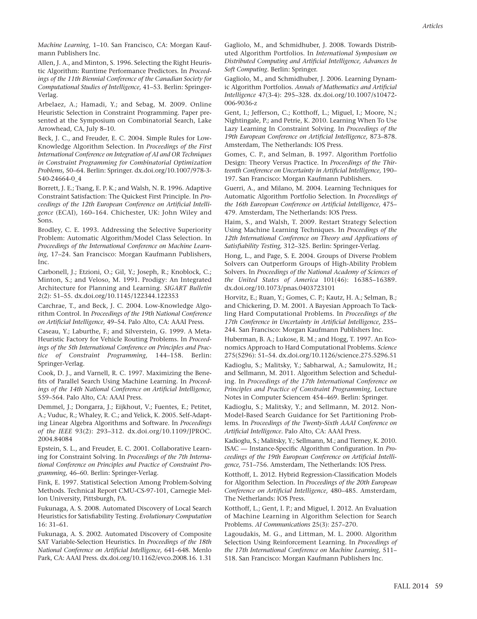*Machine Learning,* 1–10. San Francisco, CA: Morgan Kaufmann Publishers Inc.

Allen, J. A., and Minton, S. 1996. Selecting the Right Heuristic Algorithm: Runtime Performance Predictors. In *Proceedings of the 11th Biennial Conference of the Canadian Society for Computational Studies of Intelligence,* 41–53. Berlin: Springer-Verlag.

Arbelaez, A.; Hamadi, Y.; and Sebag, M. 2009. Online Heuristic Selection in Constraint Programming. Paper presented at the Symposium on Combinatorial Search, Lake Arrowhead, CA, July 8–10.

Beck, J. C., and Freuder, E. C. 2004. Simple Rules for Low-Knowledge Algorithm Selection. In *Proceedings of the First International Conference on Integration of AI and OR Techniques in Constraint Programming for Combinatorial Optimization Problems,* 50–64. Berlin: Springer. dx.doi.org/10.1007/978-3- 540-24664-0\_4

Borrett, J. E.; Tsang, E. P. K.; and Walsh, N. R. 1996. Adaptive Constraint Satisfaction: The Quickest First Principle. In *Proceedings of the 12th European Conference on Artificial Intelligence* (ECAI)*,* 160–164. Chichester, UK: John Wiley and Sons.

Brodley, C. E. 1993. Addressing the Selective Superiority Problem: Automatic Algorithm/Model Class Selection. In *Proceedings of the International Conference on Machine Learning,* 17–24. San Francisco: Morgan Kaufmann Publishers, Inc.

Carbonell, J.; Etzioni, O.; Gil, Y.; Joseph, R.; Knoblock, C.; Minton, S.; and Veloso, M. 1991. Prodigy: An Integrated Architecture for Planning and Learning. *SIGART Bulletin* 2(2): 51–55. dx.doi.org/10.1145/122344.122353

Carchrae, T., and Beck, J. C. 2004. Low-Knowledge Algorithm Control. In *Proceedings of the 19th National Conference on Artificial Intelligence,* 49–54. Palo Alto, CA: AAAI Press.

Caseau, Y.; Laburthe, F.; and Silverstein, G. 1999. A Meta-Heuristic Factory for Vehicle Routing Problems. In *Proceedings of the 5th International Conference on Principles and Practice of Constraint Programming,* 144–158. Berlin: Springer-Verlag.

Cook, D. J., and Varnell, R. C. 1997. Maximizing the Benefits of Parallel Search Using Machine Learning. In *Proceedings of the 14th National Conference on Artificial Intelligence,* 559–564. Palo Alto, CA: AAAI Press.

Demmel, J.; Dongarra, J.; Eijkhout, V.; Fuentes, E.; Petitet, A.; Vuduc, R.; Whaley, R. C.; and Yelick, K. 2005. Self-Adapting Linear Algebra Algorithms and Software. In *Proceedings of the IEEE* 93(2): 293–312. dx.doi.org/10.1109/JPROC. 2004.84084

Epstein, S. L., and Freuder, E. C. 2001. Collaborative Learning for Constraint Solving. In *Proceedings of the 7th International Conference on Principles and Practice of Constraint Programming,* 46–60. Berlin: Springer-Verlag.

Fink, E. 1997. Statistical Selection Among Problem-Solving Methods. Technical Report CMU-CS-97-101, Carnegie Mellon University, Pittsburgh, PA.

Fukunaga, A. S. 2008. Automated Discovery of Local Search Heuristics for Satisfiability Testing. *Evolutionary Computation* 16: 31–61.

Fukunaga, A. S. 2002. Automated Discovery of Composite SAT Variable-Selection Heuristics. In *Proceedings of the 18th National Conference on Artificial Intelligence,* 641–648. Menlo Park, CA: AAAI Press. dx.doi.org/10.1162/evco.2008.16. 1.31

Gagliolo, M., and Schmidhuber, J. 2008. Towards Distributed Algorithm Portfolios. In *International Symposium on Distributed Computing and Artificial Intelligence, Advances In Soft Computing.* Berlin: Springer.

Gagliolo, M., and Schmidhuber, J. 2006. Learning Dynamic Algorithm Portfolios. *Annals of Mathematics and Artificial Intelligence* 47(3-4): 295–328. dx.doi.org/10.1007/s10472- 006-9036-z

Gent, I.; Jefferson, C.; Kotthoff, L.; Miguel, I.; Moore, N.; Nightingale, P.; and Petrie, K. 2010. Learning When To Use Lazy Learning In Constraint Solving. In *Proceedings of the 19th European Conference on Artificial Intelligence,* 873–878. Amsterdam, The Netherlands: IOS Press.

Gomes, C. P., and Selman, B. 1997. Algorithm Portfolio Design: Theory Versus Practice. In *Proceedings of the Thirteenth Conference on Uncertainty in Artificial Intelligence,* 190– 197. San Francisco: Morgan Kaufmann Publishers.

Guerri, A., and Milano, M. 2004. Learning Techniques for Automatic Algorithm Portfolio Selection. In *Proceedings of the 16th Eureopean Conference on Artificial Intelligence*, 475– 479. Amsterdam, The Netherlands: IOS Press.

Haim, S., and Walsh, T. 2009. Restart Strategy Selection Using Machine Learning Techniques. In *Proceedings of the 12th International Conference on Theory and Applications of Satisfiability Testing,* 312–325. Berlin: Springer-Verlag.

Hong, L., and Page, S. E. 2004. Groups of Diverse Problem Solvers can Outperform Groups of High-Ability Problem Solvers. In *Proceedings of the National Academy of Sciences of the United States of America* 101(46): 16385–16389. dx.doi.org/10.1073/pnas.0403723101

Horvitz, E.; Ruan, Y.; Gomes, C. P.; Kautz, H. A.; Selman, B.; and Chickering, D. M. 2001. A Bayesian Approach To Tackling Hard Computational Problems. In *Proceedings of the 17th Conference in Uncertainty in Artificial Intelligence,* 235– 244. San Francisco: Morgan Kaufmann Publishers Inc.

Huberman, B. A.; Lukose, R. M.; and Hogg, T. 1997. An Economics Approach to Hard Computational Problems. *Science* 275(5296): 51–54. dx.doi.org/10.1126/science.275.5296.51

Kadioglu, S.; Malitsky, Y.; Sabharwal, A.; Samulowitz, H.; and Sellmann, M. 2011. Algorithm Selection and Scheduling. In *Proceedings of the 17th International Conference on Principles and Practice of Constraint Programming,* Lecture Notes in Computer Sciencem 454–469. Berlin: Springer.

Kadioglu, S.; Malitsky, Y.; and Sellmann, M. 2012. Non-Model-Based Search Guidance for Set Partitioning Problems. In *Proceedings of the Twenty-Sixth AAAI Conference on Artificial Intelligence.* Palo Alto, CA: AAAI Press.

Kadioglu, S.; Malitsky, Y.; Sellmann, M.; and Tierney, K. 2010. ISAC — Instance-Specific Algorithm Configuration. In *Proceedings of the 19th European Conference on Artificial Intelligence,* 751–756. Amsterdam, The Netherlands: IOS Press.

Kotthoff, L. 2012. Hybrid Regression-Classification Models for Algorithm Selection. In *Proceedings of the 20th European Conference on Artificial Intelligence,* 480–485. Amsterdam, The Netherlands: IOS Press.

Kotthoff, L.; Gent, I. P.; and Miguel, I. 2012. An Evaluation of Machine Learning in Algorithm Selection for Search Problems. *AI Communications* 25(3): 257–270.

Lagoudakis, M. G., and Littman, M. L. 2000. Algorithm Selection Using Reinforcement Learning. In *Proceedings of the 17th International Conference on Machine Learning,* 511– 518. San Francisco: Morgan Kaufmann Publishers Inc.